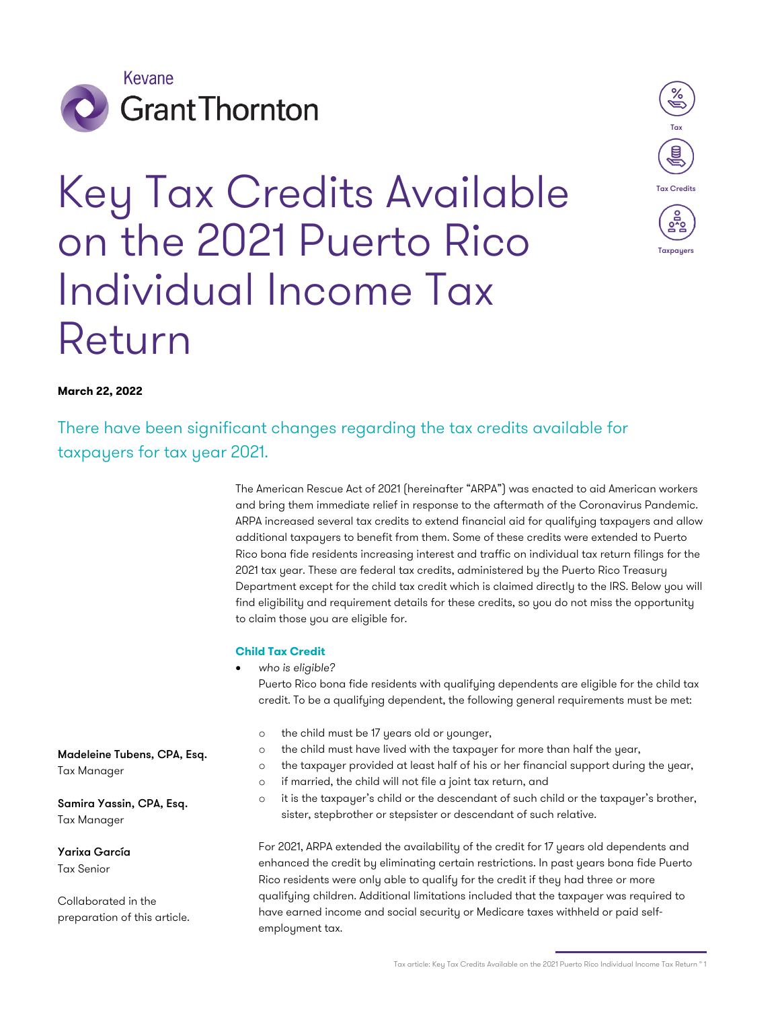

# Key Tax Credits Available on the 2021 Puerto Rico Individual Income Tax Return



# **March 22, 2022**

There have been significant changes regarding the tax credits available for taxpayers for tax year 2021.

> The American Rescue Act of 2021 (hereinafter "ARPA") was enacted to aid American workers and bring them immediate relief in response to the aftermath of the Coronavirus Pandemic. ARPA increased several tax credits to extend financial aid for qualifying taxpayers and allow additional taxpayers to benefit from them. Some of these credits were extended to Puerto Rico bona fide residents increasing interest and traffic on individual tax return filings for the 2021 tax year. These are federal tax credits, administered by the Puerto Rico Treasury Department except for the child tax credit which is claimed directly to the IRS. Below you will find eligibility and requirement details for these credits, so you do not miss the opportunity to claim those you are eligible for.

#### **Child Tax Credit**

• *who is eligible?*

Puerto Rico bona fide residents with qualifying dependents are eligible for the child tax credit. To be a qualifying dependent, the following general requirements must be met:

- o the child must be 17 years old or younger,
- o the child must have lived with the taxpayer for more than half the year,
- o the taxpayer provided at least half of his or her financial support during the year,
- o if married, the child will not file a joint tax return, and
- o it is the taxpayer's child or the descendant of such child or the taxpayer's brother, sister, stepbrother or stepsister or descendant of such relative.

For 2021, ARPA extended the availability of the credit for 17 years old dependents and enhanced the credit by eliminating certain restrictions. In past years bona fide Puerto Rico residents were only able to qualify for the credit if they had three or more qualifying children. Additional limitations included that the taxpayer was required to have earned income and social security or Medicare taxes withheld or paid selfemployment tax.

Madeleine Tubens, CPA, Esq. Tax Manager

Samira Yassin, CPA, Esq. Tax Manager

Yarixa García Tax Senior

Collaborated in the preparation of this article.

Tax article: Key Tax Credits Available on the 2021 Puerto Rico Individual Income Tax Return ° 1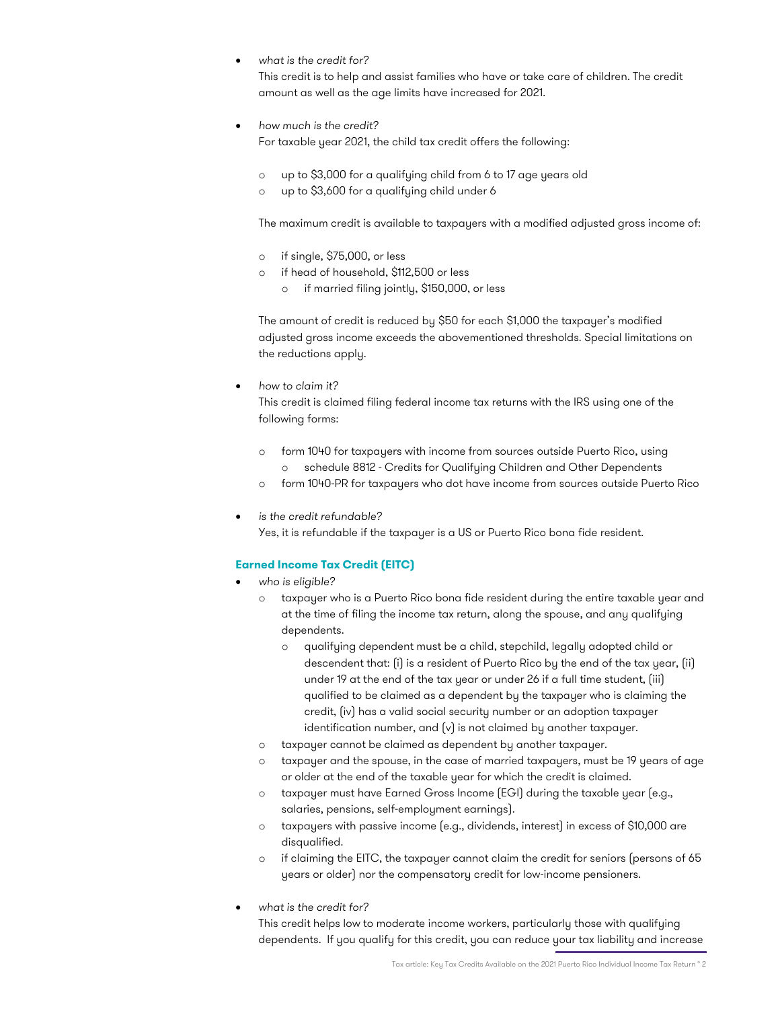• *what is the credit for?*

This credit is to help and assist families who have or take care of children. The credit amount as well as the age limits have increased for 2021.

- *how much is the credit?* For taxable year 2021, the child tax credit offers the following:
	- o up to \$3,000 for a qualifying child from 6 to 17 age years old
	- o up to \$3,600 for a qualifying child under 6

The maximum credit is available to taxpayers with a modified adjusted gross income of:

- o if single, \$75,000, or less
- o if head of household, \$112,500 or less
	- o if married filing jointly, \$150,000, or less

The amount of credit is reduced by \$50 for each \$1,000 the taxpayer's modified adjusted gross income exceeds the abovementioned thresholds. Special limitations on the reductions apply.

• *how to claim it?*

This credit is claimed filing federal income tax returns with the IRS using one of the following forms:

- o form 1040 for taxpayers with income from sources outside Puerto Rico, using schedule 8812 - Credits for Qualifying Children and Other Dependents
- o form 1040-PR for taxpayers who dot have income from sources outside Puerto Rico
- *is the credit refundable?* Yes, it is refundable if the taxpayer is a US or Puerto Rico bona fide resident.

# **Earned Income Tax Credit (EITC)**

- *who is eligible?*
	- taxpayer who is a Puerto Rico bona fide resident during the entire taxable year and at the time of filing the income tax return, along the spouse, and any qualifying dependents.
		- o qualifying dependent must be a child, stepchild, legally adopted child or descendent that: (i) is a resident of Puerto Rico by the end of the tax year, (ii) under 19 at the end of the tax year or under 26 if a full time student, (iii) qualified to be claimed as a dependent by the taxpayer who is claiming the credit, (iv) has a valid social security number or an adoption taxpayer identification number, and (v) is not claimed by another taxpayer.
	- o taxpayer cannot be claimed as dependent by another taxpayer.
	- o taxpayer and the spouse, in the case of married taxpayers, must be 19 years of age or older at the end of the taxable year for which the credit is claimed.
	- o taxpayer must have Earned Gross Income (EGI) during the taxable year (e.g., salaries, pensions, self-employment earnings).
	- o taxpayers with passive income (e.g., dividends, interest) in excess of \$10,000 are disqualified.
	- o if claiming the EITC, the taxpayer cannot claim the credit for seniors (persons of 65 years or older) nor the compensatory credit for low-income pensioners.
- *what is the credit for?*

This credit helps low to moderate income workers, particularly those with qualifying dependents. If you qualify for this credit, you can reduce your tax liability and increase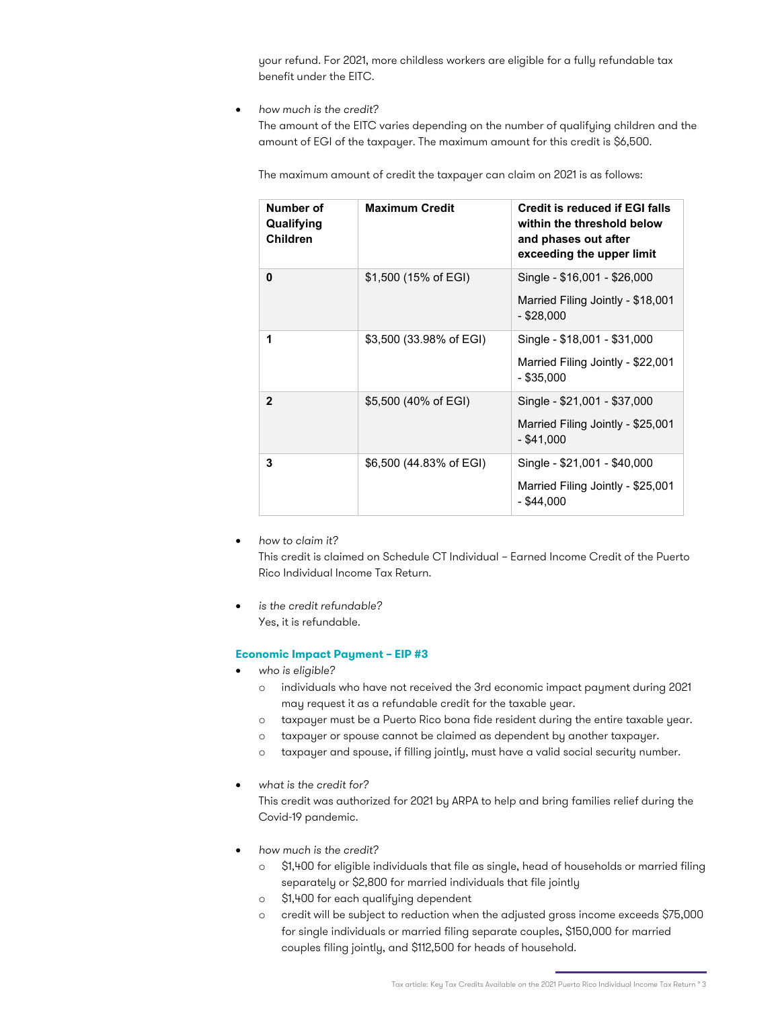your refund. For 2021, more childless workers are eligible for a fully refundable tax benefit under the EITC.

• *how much is the credit?*

The amount of the EITC varies depending on the number of qualifying children and the amount of EGI of the taxpayer. The maximum amount for this credit is \$6,500.

The maximum amount of credit the taxpayer can claim on 2021 is as follows:

| Number of<br>Qualifying<br><b>Children</b> | <b>Maximum Credit</b>   | Credit is reduced if EGI falls<br>within the threshold below<br>and phases out after<br>exceeding the upper limit |
|--------------------------------------------|-------------------------|-------------------------------------------------------------------------------------------------------------------|
| 0                                          | \$1,500 (15% of EGI)    | Single - \$16,001 - \$26,000<br>Married Filing Jointly - \$18,001<br>- \$28.000                                   |
| 1                                          | \$3,500 (33.98% of EGI) | Single - \$18,001 - \$31,000<br>Married Filing Jointly - \$22,001<br>$-$ \$35,000                                 |
| $\mathbf{2}$                               | \$5,500 (40% of EGI)    | Single - \$21,001 - \$37,000<br>Married Filing Jointly - \$25,001<br>- \$41.000                                   |
| 3                                          | \$6,500 (44.83% of EGI) | Single - \$21,001 - \$40,000<br>Married Filing Jointly - \$25,001<br>- \$44.000                                   |

• *how to claim it?*

This credit is claimed on Schedule CT Individual – Earned Income Credit of the Puerto Rico Individual Income Tax Return.

• *is the credit refundable?* Yes, it is refundable.

#### **Economic Impact Payment – EIP #3**

- *who is eligible?*
	- o individuals who have not received the 3rd economic impact payment during 2021 may request it as a refundable credit for the taxable year.
	- o taxpayer must be a Puerto Rico bona fide resident during the entire taxable year.
	- o taxpayer or spouse cannot be claimed as dependent by another taxpayer.
	- o taxpayer and spouse, if filling jointly, must have a valid social security number.
- *what is the credit for?*

This credit was authorized for 2021 by ARPA to help and bring families relief during the Covid-19 pandemic.

- *how much is the credit?*
	- o \$1,400 for eligible individuals that file as single, head of households or married filing separately or \$2,800 for married individuals that file jointly
	- o \$1,400 for each qualifying dependent
	- o credit will be subject to reduction when the adjusted gross income exceeds \$75,000 for single individuals or married filing separate couples, \$150,000 for married couples filing jointly, and \$112,500 for heads of household.

Tax article: Key Tax Credits Available on the 2021 Puerto Rico Individual Income Tax Return ° 3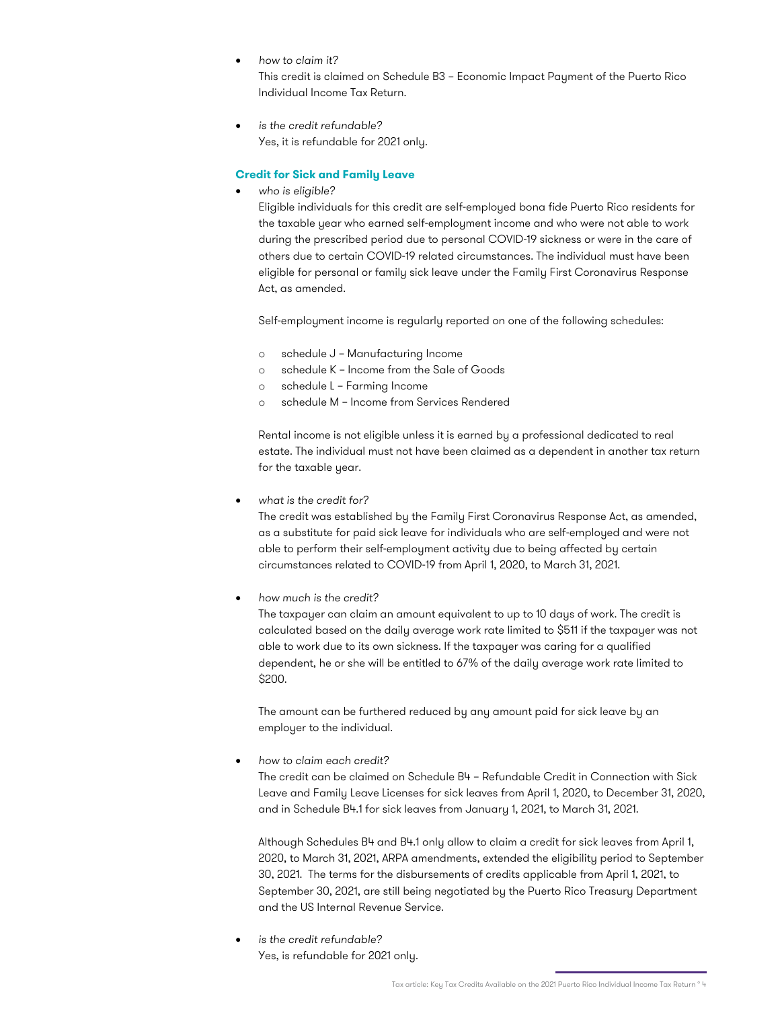• *how to claim it?*

This credit is claimed on Schedule B3 – Economic Impact Payment of the Puerto Rico Individual Income Tax Return.

• *is the credit refundable?*  Yes, it is refundable for 2021 only.

## **Credit for Sick and Family Leave**

• *who is eligible?*

Eligible individuals for this credit are self-employed bona fide Puerto Rico residents for the taxable year who earned self-employment income and who were not able to work during the prescribed period due to personal COVID-19 sickness or were in the care of others due to certain COVID-19 related circumstances. The individual must have been eligible for personal or family sick leave under the Family First Coronavirus Response Act, as amended.

Self-employment income is regularly reported on one of the following schedules:

- o schedule J Manufacturing Income
- o schedule K Income from the Sale of Goods
- o schedule L Farming Income
- o schedule M Income from Services Rendered

Rental income is not eligible unless it is earned by a professional dedicated to real estate. The individual must not have been claimed as a dependent in another tax return for the taxable year.

• *what is the credit for?*

The credit was established by the Family First Coronavirus Response Act, as amended, as a substitute for paid sick leave for individuals who are self-employed and were not able to perform their self-employment activity due to being affected by certain circumstances related to COVID-19 from April 1, 2020, to March 31, 2021.

• *how much is the credit?*

The taxpayer can claim an amount equivalent to up to 10 days of work. The credit is calculated based on the daily average work rate limited to \$511 if the taxpayer was not able to work due to its own sickness. If the taxpayer was caring for a qualified dependent, he or she will be entitled to 67% of the daily average work rate limited to \$200.

The amount can be furthered reduced by any amount paid for sick leave by an employer to the individual.

• *how to claim each credit?*

The credit can be claimed on Schedule B4 – Refundable Credit in Connection with Sick Leave and Family Leave Licenses for sick leaves from April 1, 2020, to December 31, 2020, and in Schedule B4.1 for sick leaves from January 1, 2021, to March 31, 2021.

Although Schedules B4 and B4.1 only allow to claim a credit for sick leaves from April 1, 2020, to March 31, 2021, ARPA amendments, extended the eligibility period to September 30, 2021. The terms for the disbursements of credits applicable from April 1, 2021, to September 30, 2021, are still being negotiated by the Puerto Rico Treasury Department and the US Internal Revenue Service.

• *is the credit refundable?* Yes, is refundable for 2021 only.

Tax article: Key Tax Credits Available on the 2021 Puerto Rico Individual Income Tax Return ° 4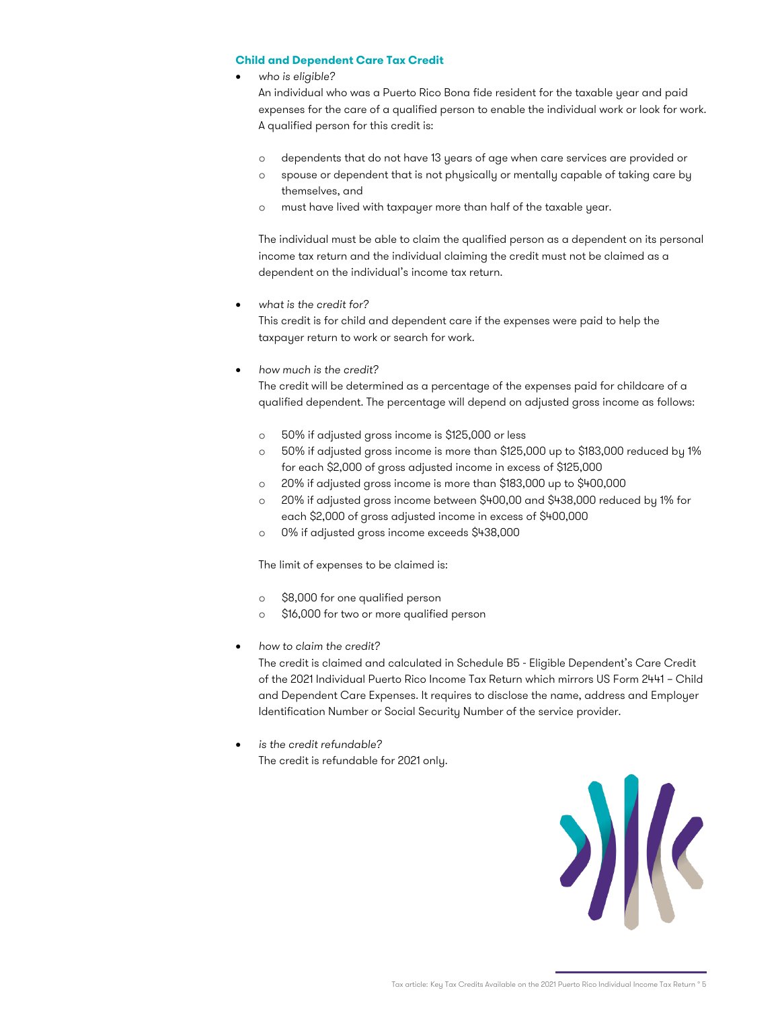### **Child and Dependent Care Tax Credit**

• *who is eligible?*

An individual who was a Puerto Rico Bona fide resident for the taxable year and paid expenses for the care of a qualified person to enable the individual work or look for work. A qualified person for this credit is:

- o dependents that do not have 13 years of age when care services are provided or
- o spouse or dependent that is not physically or mentally capable of taking care by themselves, and
- o must have lived with taxpayer more than half of the taxable year.

The individual must be able to claim the qualified person as a dependent on its personal income tax return and the individual claiming the credit must not be claimed as a dependent on the individual's income tax return.

• *what is the credit for?*

This credit is for child and dependent care if the expenses were paid to help the taxpayer return to work or search for work.

• *how much is the credit?*

The credit will be determined as a percentage of the expenses paid for childcare of a qualified dependent. The percentage will depend on adjusted gross income as follows:

- o 50% if adjusted gross income is \$125,000 or less
- o 50% if adjusted gross income is more than \$125,000 up to \$183,000 reduced by 1% for each \$2,000 of gross adjusted income in excess of \$125,000
- o 20% if adjusted gross income is more than \$183,000 up to \$400,000
- o 20% if adjusted gross income between \$400,00 and \$438,000 reduced by 1% for each \$2,000 of gross adjusted income in excess of \$400,000
- o 0% if adjusted gross income exceeds \$438,000

The limit of expenses to be claimed is:

- o \$8,000 for one qualified person
- o \$16,000 for two or more qualified person
- *how to claim the credit?*

The credit is claimed and calculated in Schedule B5 - Eligible Dependent's Care Credit of the 2021 Individual Puerto Rico Income Tax Return which mirrors US Form 2441 – Child and Dependent Care Expenses. It requires to disclose the name, address and Employer Identification Number or Social Security Number of the service provider.

• *is the credit refundable?* The credit is refundable for 2021 only.